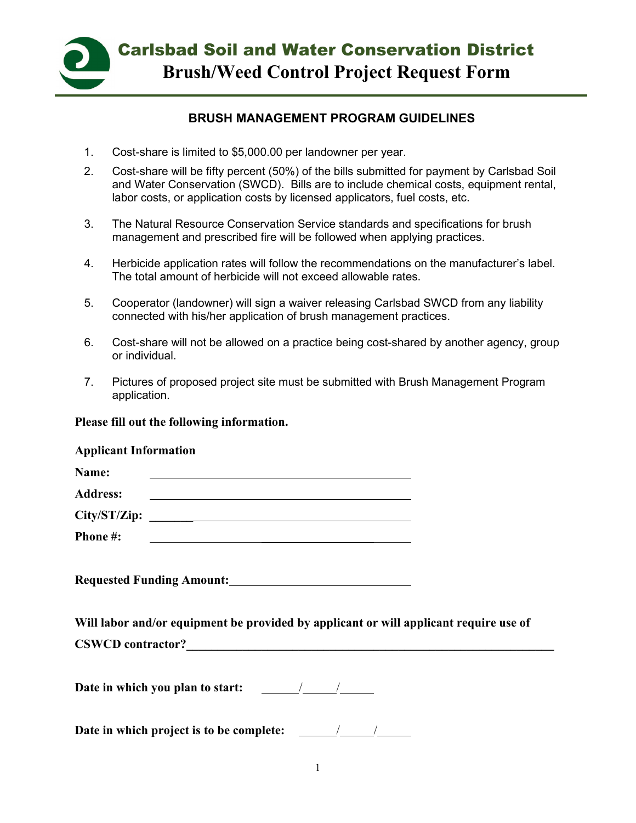

## **BRUSH MANAGEMENT PROGRAM GUIDELINES**

- 1. Cost-share is limited to \$5,000.00 per landowner per year.
- 2. Cost-share will be fifty percent (50%) of the bills submitted for payment by Carlsbad Soil and Water Conservation (SWCD). Bills are to include chemical costs, equipment rental, labor costs, or application costs by licensed applicators, fuel costs, etc.
- 3. The Natural Resource Conservation Service standards and specifications for brush management and prescribed fire will be followed when applying practices.
- 4. Herbicide application rates will follow the recommendations on the manufacturer's label. The total amount of herbicide will not exceed allowable rates.
- 5. Cooperator (landowner) will sign a waiver releasing Carlsbad SWCD from any liability connected with his/her application of brush management practices.
- 6. Cost-share will not be allowed on a practice being cost-shared by another agency, group or individual.
- 7. Pictures of proposed project site must be submitted with Brush Management Program application.

#### **Please fill out the following information.**

#### **Applicant Information**

| Name:           |  |
|-----------------|--|
| <b>Address:</b> |  |
| City/ST/Zip:    |  |
| <b>Phone #:</b> |  |

**Requested Funding Amount:**

**Will labor and/or equipment be provided by applicant or will applicant require use of**  CSWCD contractor?

Date in which you plan to start:  $\frac{\sqrt{2\pi}}{2\pi}$ 

**Date in which project is to be complete:** / / /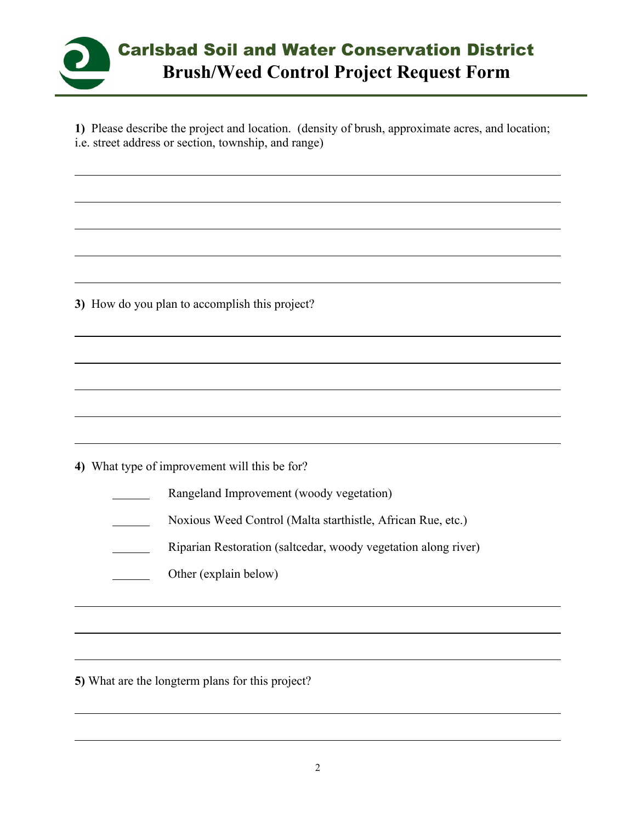

**1)** Please describe the project and location. (density of brush, approximate acres, and location; i.e. street address or section, township, and range)

**3)** How do you plan to accomplish this project?

**4)** What type of improvement will this be for?

Rangeland Improvement (woody vegetation)

Noxious Weed Control (Malta starthistle, African Rue, etc.)

Riparian Restoration (saltcedar, woody vegetation along river)

Other (explain below)  $\mathcal{L}(\mathcal{L})$ 

**5)** What are the longterm plans for this project?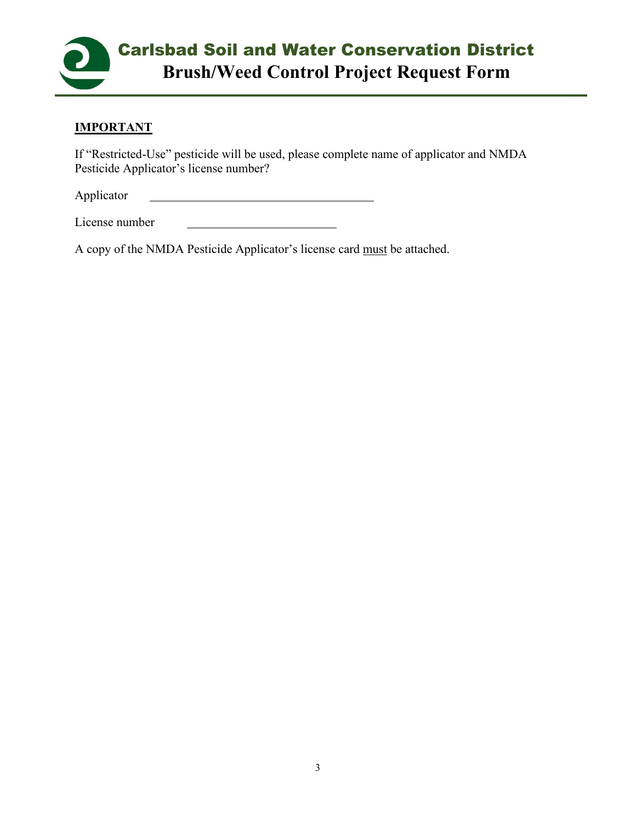

# **IMPORTANT**

If "Restricted-Use" pesticide will be used, please complete name of applicator and NMDA Pesticide Applicator's license number?

Applicator

License number

A copy of the NMDA Pesticide Applicator's license card must be attached.